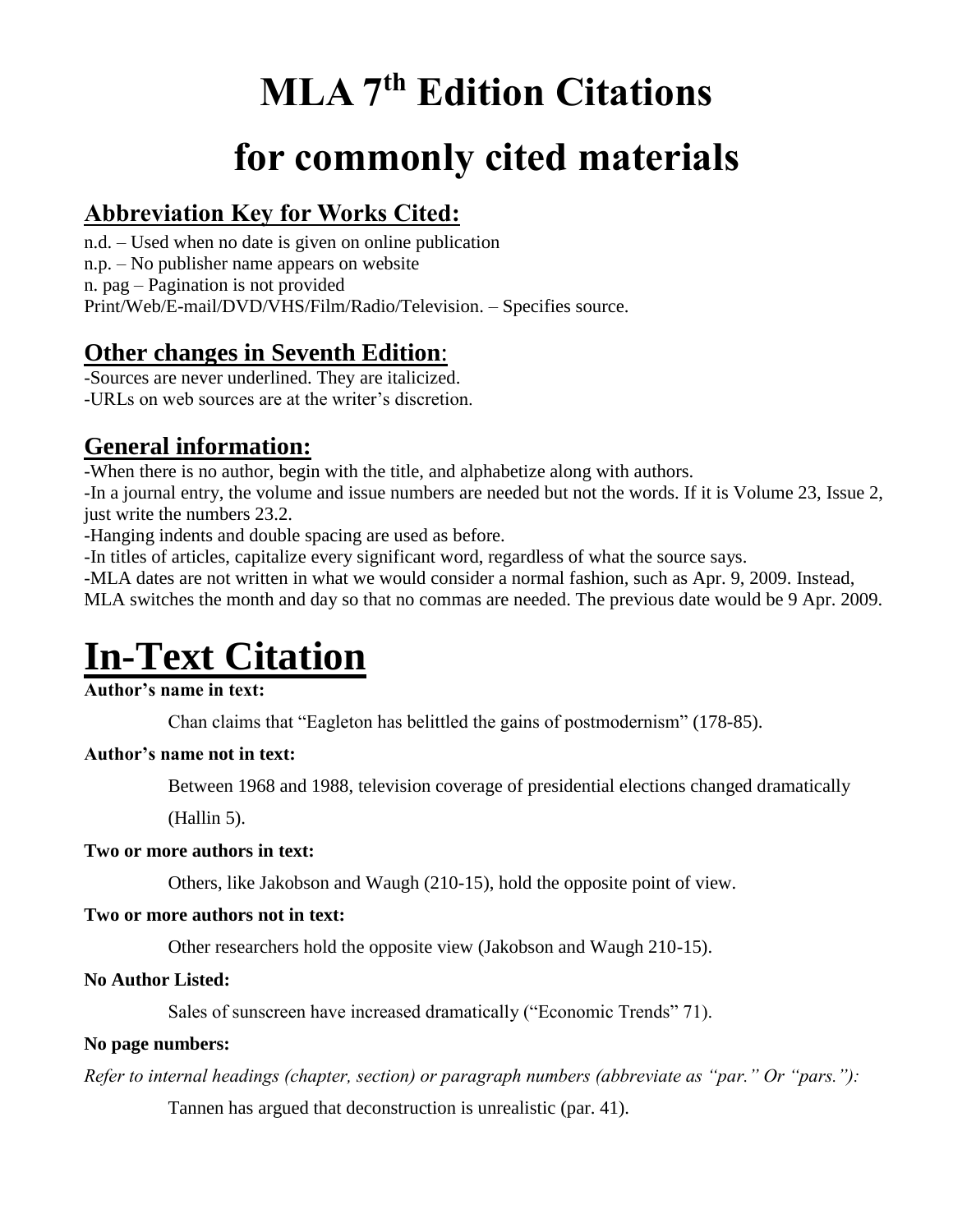## **MLA 7 th Edition Citations**

## **for commonly cited materials**

## **Abbreviation Key for Works Cited:**

n.d. – Used when no date is given on online publication n.p. – No publisher name appears on website n. pag – Pagination is not provided Print/Web/E-mail/DVD/VHS/Film/Radio/Television. – Specifies source.

## **Other changes in Seventh Edition**:

-Sources are never underlined. They are italicized. -URLs on web sources are at the writer's discretion.

## **General information:**

-When there is no author, begin with the title, and alphabetize along with authors.

-In a journal entry, the volume and issue numbers are needed but not the words. If it is Volume 23, Issue 2, just write the numbers 23.2.

-Hanging indents and double spacing are used as before.

-In titles of articles, capitalize every significant word, regardless of what the source says.

-MLA dates are not written in what we would consider a normal fashion, such as Apr. 9, 2009. Instead,

MLA switches the month and day so that no commas are needed. The previous date would be 9 Apr. 2009.

## **In-Text Citation**

### **Author's name in text:**

Chan claims that "Eagleton has belittled the gains of postmodernism" (178-85).

### **Author's name not in text:**

Between 1968 and 1988, television coverage of presidential elections changed dramatically

(Hallin 5).

### **Two or more authors in text:**

Others, like Jakobson and Waugh (210-15), hold the opposite point of view.

### **Two or more authors not in text:**

Other researchers hold the opposite view (Jakobson and Waugh 210-15).

### **No Author Listed:**

Sales of sunscreen have increased dramatically ("Economic Trends" 71).

### **No page numbers:**

*Refer to internal headings (chapter, section) or paragraph numbers (abbreviate as "par." Or "pars."):*

Tannen has argued that deconstruction is unrealistic (par. 41).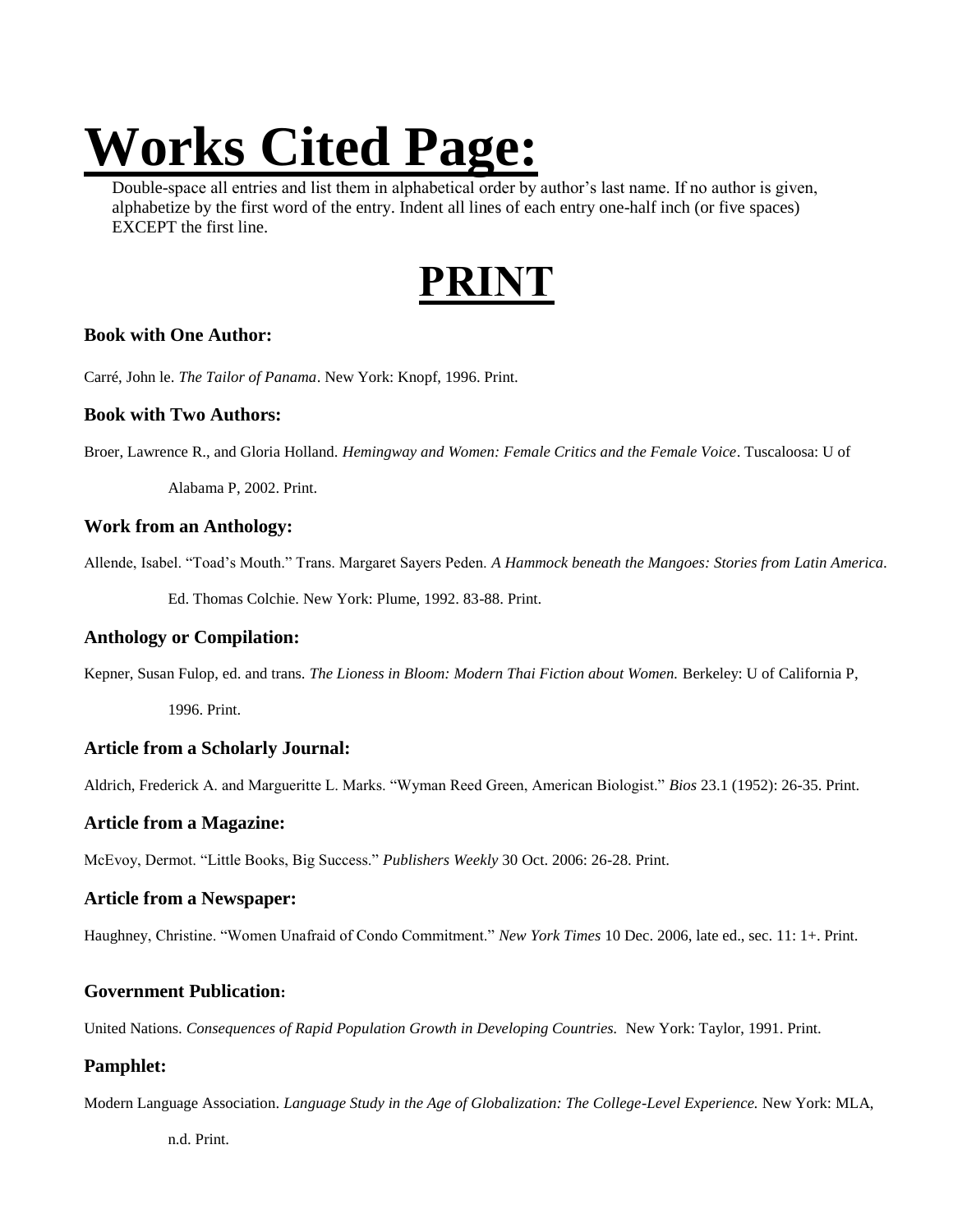# **Works Cited Page:**

Double-space all entries and list them in alphabetical order by author's last name. If no author is given, alphabetize by the first word of the entry. Indent all lines of each entry one-half inch (or five spaces) EXCEPT the first line.

## **PRINT**

#### **Book with One Author:**

Carré, John le. *The Tailor of Panama*. New York: Knopf, 1996. Print.

#### **Book with Two Authors:**

Broer, Lawrence R., and Gloria Holland. *Hemingway and Women: Female Critics and the Female Voice*. Tuscaloosa: U of

Alabama P, 2002. Print.

#### **Work from an Anthology:**

Allende, Isabel. "Toad's Mouth." Trans. Margaret Sayers Peden. *A Hammock beneath the Mangoes: Stories from Latin America.*

Ed. Thomas Colchie. New York: Plume, 1992. 83-88. Print.

#### **Anthology or Compilation:**

Kepner, Susan Fulop, ed. and trans. *The Lioness in Bloom: Modern Thai Fiction about Women.* Berkeley: U of California P,

1996. Print.

#### **Article from a Scholarly Journal:**

Aldrich, Frederick A. and Margueritte L. Marks. "Wyman Reed Green, American Biologist." *Bios* 23.1 (1952): 26-35. Print.

#### **Article from a Magazine:**

McEvoy, Dermot. "Little Books, Big Success." *Publishers Weekly* 30 Oct. 2006: 26-28. Print.

#### **Article from a Newspaper:**

Haughney, Christine. "Women Unafraid of Condo Commitment." *New York Times* 10 Dec. 2006, late ed., sec. 11: 1+. Print.

#### **Government Publication:**

United Nations. *Consequences of Rapid Population Growth in Developing Countries.* New York: Taylor, 1991. Print.

#### **Pamphlet:**

Modern Language Association. *Language Study in the Age of Globalization: The College-Level Experience.* New York: MLA,

n.d. Print.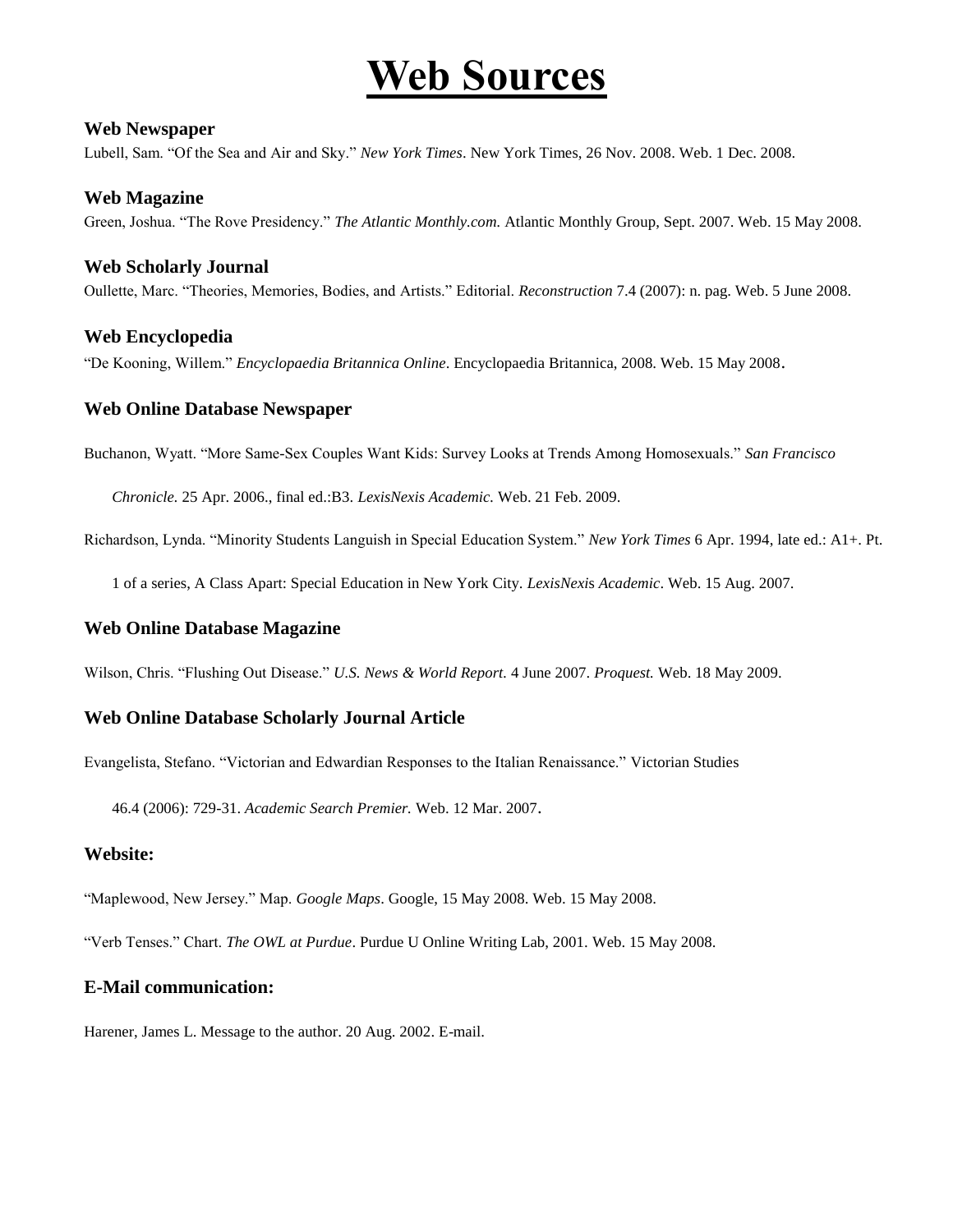## **Web Sources**

#### **Web Newspaper**

Lubell, Sam. "Of the Sea and Air and Sky." *New York Times*. New York Times, 26 Nov. 2008. Web. 1 Dec. 2008.

#### **Web Magazine**

Green, Joshua. "The Rove Presidency." *The Atlantic Monthly.com.* Atlantic Monthly Group, Sept. 2007. Web. 15 May 2008.

#### **Web Scholarly Journal**

Oullette, Marc. "Theories, Memories, Bodies, and Artists." Editorial. *Reconstruction* 7.4 (2007): n. pag. Web. 5 June 2008.

#### **Web Encyclopedia**

"De Kooning, Willem." *Encyclopaedia Britannica Online*. Encyclopaedia Britannica, 2008. Web. 15 May 2008.

#### **Web Online Database Newspaper**

Buchanon, Wyatt. "More Same-Sex Couples Want Kids: Survey Looks at Trends Among Homosexuals." *San Francisco* 

*Chronicle.* 25 Apr. 2006., final ed.:B3. *LexisNexis Academic.* Web. 21 Feb. 2009.

Richardson, Lynda. "Minority Students Languish in Special Education System." *New York Times* 6 Apr. 1994, late ed.: A1+. Pt.

1 of a series, A Class Apart: Special Education in New York City. *LexisNexi*s *Academic*. Web. 15 Aug. 2007.

#### **Web Online Database Magazine**

Wilson, Chris. "Flushing Out Disease." *U.S. News & World Report.* 4 June 2007. *Proquest.* Web. 18 May 2009.

#### **Web Online Database Scholarly Journal Article**

Evangelista, Stefano. "Victorian and Edwardian Responses to the Italian Renaissance." Victorian Studies

46.4 (2006): 729-31. *Academic Search Premier.* Web. 12 Mar. 2007.

#### **Website:**

"Maplewood, New Jersey." Map. *Google Maps*. Google, 15 May 2008. Web. 15 May 2008.

"Verb Tenses." Chart. *The OWL at Purdue*. Purdue U Online Writing Lab, 2001. Web. 15 May 2008.

#### **E-Mail communication:**

Harener, James L. Message to the author. 20 Aug. 2002. E-mail.